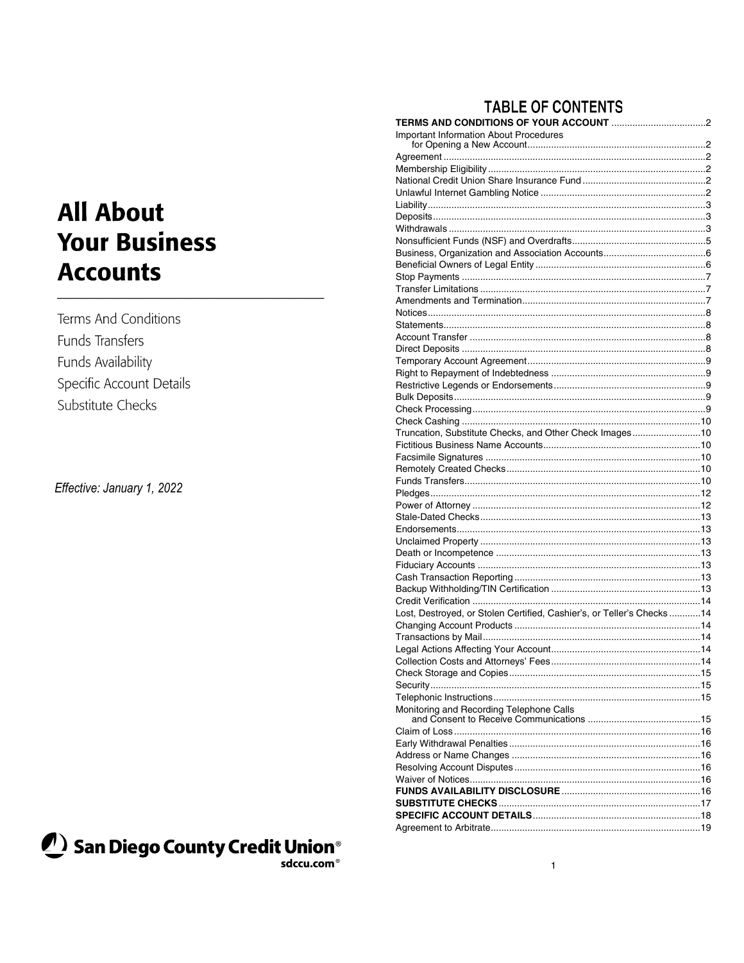# **All About Your Business Accounts**

Terms And Conditions Funds Transfers Funds Availability Specific Account Details Substitute Checks

Effective: January 1, 2022



## **TABLE OF CONTENTS**

| <b>Important Information About Procedures</b>                         |  |
|-----------------------------------------------------------------------|--|
|                                                                       |  |
|                                                                       |  |
|                                                                       |  |
|                                                                       |  |
|                                                                       |  |
|                                                                       |  |
|                                                                       |  |
|                                                                       |  |
|                                                                       |  |
|                                                                       |  |
|                                                                       |  |
|                                                                       |  |
|                                                                       |  |
|                                                                       |  |
|                                                                       |  |
|                                                                       |  |
|                                                                       |  |
|                                                                       |  |
|                                                                       |  |
|                                                                       |  |
|                                                                       |  |
|                                                                       |  |
|                                                                       |  |
| Truncation, Substitute Checks, and Other Check Images10               |  |
|                                                                       |  |
|                                                                       |  |
|                                                                       |  |
|                                                                       |  |
|                                                                       |  |
|                                                                       |  |
|                                                                       |  |
|                                                                       |  |
|                                                                       |  |
|                                                                       |  |
|                                                                       |  |
|                                                                       |  |
|                                                                       |  |
|                                                                       |  |
| Lost, Destroyed, or Stolen Certified, Cashier's, or Teller's Checks14 |  |
|                                                                       |  |
|                                                                       |  |
|                                                                       |  |
|                                                                       |  |
|                                                                       |  |
|                                                                       |  |
| Monitoring and Recording Telephone Calls                              |  |
|                                                                       |  |
|                                                                       |  |
|                                                                       |  |
|                                                                       |  |
|                                                                       |  |
|                                                                       |  |
|                                                                       |  |
|                                                                       |  |
|                                                                       |  |
|                                                                       |  |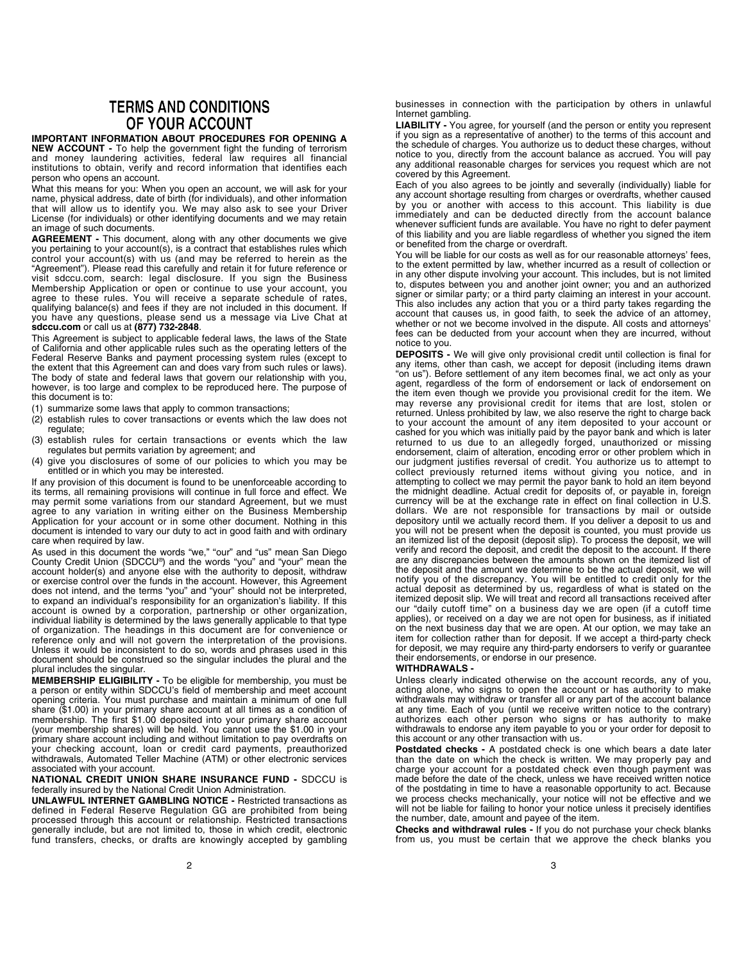### **TERMS AND CONDITIONS** OF YOUR ACCOUNT

IMPORTANT INFORMATION ABOUT PROCEDURES FOR OPENING A NEW ACCOUNT - To help the government fight the funding of terrorism and money laundering activities, federal law requires all financial institutions to obtain, verify and record information that identifies each person who opens an account.

What this means for you: When you open an account, we will ask for your name, physical address, date of birth (for individuals), and other information that will allow us to identify you. We may also ask to see your Driver License (for individuals) or other identifying documents and we may retain an image of such documents.

AGREEMENT - This document, along with any other documents we give you pertaining to your account(s), is a contract that establishes rules which control your account(s) with us (and may be referred to herein as the "Agreement"). Please read this carefully and retain it for future reference or visit sdccu.com, search: legal disclosure. If you sign the Business Membership Application or open or continue to use your account, you agree to these rules. You will receive a separate schedule of rates, qualifying balance(s) and fees if they are not included in this document. If you have any questions, please send us a message via Live Chat at sdccu.com or call us at (877) 732-2848.

This Agreement is subject to applicable federal laws, the laws of the State of California and other applicable rules such as the operating letters of the Federal Reserve Banks and payment processing system rules (except to the extent that this Agreement can and does vary from such rules or laws). The body of state and federal laws that govern our relationship with you, however, is too large and complex to be reproduced here. The purpose of this document is to:

- (1) summarize some laws that apply to common transactions;
- (2) establish rules to cover transactions or events which the law does not regulate;
- (3) establish rules for certain transactions or events which the law regulates but permits variation by agreement; and
- (4) give you disclosures of some of our policies to which you may be entitled or in which you may be interested.

If any provision of this document is found to be unenforceable according to its terms, all remaining provisions will continue in full force and effect. We may permit some variations from our standard Agreement, but we must agree to any variation in writing either on the Business Membership Application for your account or in some other document. Nothing in this document is intended to vary our duty to act in good faith and with ordinary care when required by law.

As used in this document the words "we," "our" and "us" mean San Diego County Credit Union (SDCCU® ) and the words "you" and "your" mean the account holder(s) and anyone else with the authority to deposit, withdraw or exercise control over the funds in the account. However, this Agreement does not intend, and the terms "you" and "your" should not be interpreted, to expand an individual's responsibility for an organization's liability. If this account is owned by a corporation, partnership or other organization, individual liability is determined by the laws generally applicable to that type of organization. The headings in this document are for convenience or reference only and will not govern the interpretation of the provisions. Unless it would be inconsistent to do so, words and phrases used in this document should be construed so the singular includes the plural and the plural includes the singular.

MEMBERSHIP ELIGIBILITY - To be eligible for membership, you must be a person or entity within SDCCU's field of membership and meet account opening criteria. You must purchase and maintain a minimum of one full share (\$1.00) in your primary share account at all times as a condition of membership. The first \$1.00 deposited into your primary share account (your membership shares) will be held. You cannot use the \$1.00 in your primary share account including and without limitation to pay overdrafts on your checking account, loan or credit card payments, preauthorized withdrawals, Automated Teller Machine (ATM) or other electronic services associated with your account.

#### NATIONAL CREDIT UNION SHARE INSURANCE FUND - SDCCU is federally insured by the National Credit Union Administration.

UNLAWFUL INTERNET GAMBLING NOTICE - Restricted transactions as defined in Federal Reserve Regulation GG are prohibited from being processed through this account or relationship. Restricted transactions generally include, but are not limited to, those in which credit, electronic fund transfers, checks, or drafts are knowingly accepted by gambling businesses in connection with the participation by others in unlawful Internet gambling.

LIABILITY - You agree, for yourself (and the person or entity you represent if you sign as a representative of another) to the terms of this account and the schedule of charges. You authorize us to deduct these charges, without notice to you, directly from the account balance as accrued. You will pay any additional reasonable charges for services you request which are not covered by this Agreement.

Each of you also agrees to be jointly and severally (individually) liable for any account shortage resulting from charges or overdrafts, whether caused by you or another with access to this account. This liability is due immediately and can be deducted directly from the account balance whenever sufficient funds are available. You have no right to defer payment of this liability and you are liable regardless of whether you signed the item or benefited from the charge or overdraft.

You will be liable for our costs as well as for our reasonable attorneys' fees, to the extent permitted by law, whether incurred as a result of collection or in any other dispute involving your account. This includes, but is not limited to, disputes between you and another joint owner; you and an authorized signer or similar party; or a third party claiming an interest in your account. This also includes any action that you or a third party takes regarding the account that causes us, in good faith, to seek the advice of an attorney, whether or not we become involved in the dispute. All costs and attorneys' fees can be deducted from your account when they are incurred, without notice to you.

DEPOSITS - We will give only provisional credit until collection is final for any items, other than cash, we accept for deposit (including items drawn "on us"). Before settlement of any item becomes final, we act only as your agent, regardless of the form of endorsement or lack of endorsement on the item even though we provide you provisional credit for the item. We may reverse any provisional credit for items that are lost, stolen or returned. Unless prohibited by law, we also reserve the right to charge back to your account the amount of any item deposited to your account or cashed for you which was initially paid by the payor bank and which is later returned to us due to an allegedly forged, unauthorized or missing endorsement, claim of alteration, encoding error or other problem which in our judgment justifies reversal of credit. You authorize us to attempt to collect previously returned items without giving you notice, and in attempting to collect we may permit the payor bank to hold an item beyond the midnight deadline. Actual credit for deposits of, or payable in, foreign currency will be at the exchange rate in effect on final collection in U.S. dollars. We are not responsible for transactions by mail or outside depository until we actually record them. If you deliver a deposit to us and you will not be present when the deposit is counted, you must provide us an itemized list of the deposit (deposit slip). To process the deposit, we will verify and record the deposit, and credit the deposit to the account. If there are any discrepancies between the amounts shown on the itemized list of the deposit and the amount we determine to be the actual deposit, we will notify you of the discrepancy. You will be entitled to credit only for the actual deposit as determined by us, regardless of what is stated on the itemized deposit slip. We will treat and record all transactions received after our "daily cutoff time" on a business day we are open (if a cutoff time applies), or received on a day we are not open for business, as if initiated on the next business day that we are open. At our option, we may take an item for collection rather than for deposit. If we accept a third-party check for deposit, we may require any third-party endorsers to verify or guarantee their endorsements, or endorse in our presence.

### WITHDRAWALS -

Unless clearly indicated otherwise on the account records, any of you, acting alone, who signs to open the account or has authority to make withdrawals may withdraw or transfer all or any part of the account balance at any time. Each of you (until we receive written notice to the contrary) authorizes each other person who signs or has authority to make withdrawals to endorse any item payable to you or your order for deposit to this account or any other transaction with us.

Postdated checks - A postdated check is one which bears a date later than the date on which the check is written. We may properly pay and charge your account for a postdated check even though payment was made before the date of the check, unless we have received written notice of the postdating in time to have a reasonable opportunity to act. Because we process checks mechanically, your notice will not be effective and we will not be liable for failing to honor your notice unless it precisely identifies the number, date, amount and payee of the item.

Checks and withdrawal rules - If you do not purchase your check blanks from us, you must be certain that we approve the check blanks you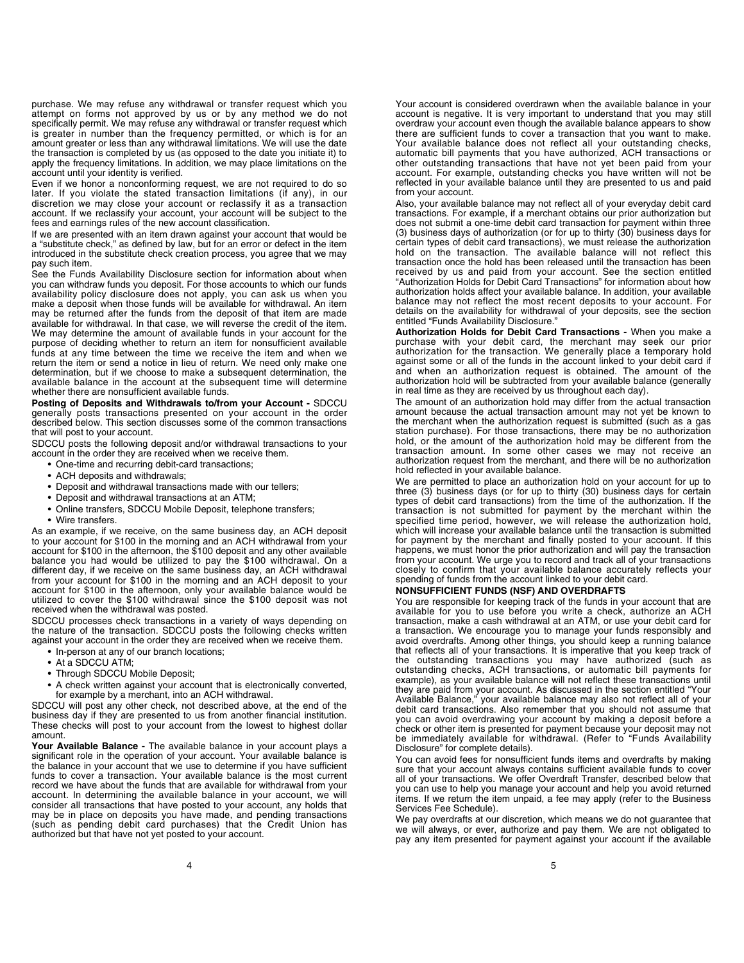purchase. We may refuse any withdrawal or transfer request which you attempt on forms not approved by us or by any method we do not specifically permit. We may refuse any withdrawal or transfer request which is greater in number than the frequency permitted, or which is for an amount greater or less than any withdrawal limitations. We will use the date the transaction is completed by us (as opposed to the date you initiate it) to apply the frequency limitations. In addition, we may place limitations on the account until your identity is verified.

Even if we honor a nonconforming request, we are not required to do so later. If you violate the stated transaction limitations (if any), in our discretion we may close your account or reclassify it as a transaction account. If we reclassify your account, your account will be subject to the fees and earnings rules of the new account classification.

If we are presented with an item drawn against your account that would be a "substitute check," as defined by law, but for an error or defect in the item introduced in the substitute check creation process, you agree that we may pay such item.

See the Funds Availability Disclosure section for information about when you can withdraw funds you deposit. For those accounts to which our funds availability policy disclosure does not apply, you can ask us when you make a deposit when those funds will be available for withdrawal. An item may be returned after the funds from the deposit of that item are made available for withdrawal. In that case, we will reverse the credit of the item. We may determine the amount of available funds in your account for the purpose of deciding whether to return an item for nonsufficient available funds at any time between the time we receive the item and when we return the item or send a notice in lieu of return. We need only make one determination, but if we choose to make a subsequent determination, the available balance in the account at the subsequent time will determine whether there are nonsufficient available funds.

Posting of Deposits and Withdrawals to/from your Account - SDCCU generally posts transactions presented on your account in the order described below. This section discusses some of the common transactions that will post to your account.

SDCCU posts the following deposit and/or withdrawal transactions to your account in the order they are received when we receive them.

- One-time and recurring debit-card transactions;
- ACH deposits and withdrawals;
- Deposit and withdrawal transactions made with our tellers;
- Deposit and withdrawal transactions at an ATM;
- Online transfers, SDCCU Mobile Deposit, telephone transfers;
- Wire transfers.

As an example, if we receive, on the same business day, an ACH deposit to your account for \$100 in the morning and an ACH withdrawal from your account for \$100 in the afternoon, the \$100 deposit and any other available balance you had would be utilized to pay the \$100 withdrawal. On a different day, if we receive on the same business day, an ACH withdrawal from your account for \$100 in the morning and an ACH deposit to your account for \$100 in the afternoon, only your available balance would be utilized to cover the \$100 withdrawal since the \$100 deposit was not received when the withdrawal was posted.

SDCCU processes check transactions in a variety of ways depending on the nature of the transaction. SDCCU posts the following checks written against your account in the order they are received when we receive them.

- In-person at any of our branch locations;
- At a SDCCU ATM;
- Through SDCCU Mobile Deposit;
- A check written against your account that is electronically converted,
- for example by a merchant, into an ACH withdrawal.

SDCCU will post any other check, not described above, at the end of the business day if they are presented to us from another financial institution. These checks will post to your account from the lowest to highest dollar amount.

Your Available Balance - The available balance in your account plays a significant role in the operation of your account. Your available balance is the balance in your account that we use to determine if you have sufficient funds to cover a transaction. Your available balance is the most current record we have about the funds that are available for withdrawal from your account. In determining the available balance in your account, we will consider all transactions that have posted to your account, any holds that may be in place on deposits you have made, and pending transactions (such as pending debit card purchases) that the Credit Union has authorized but that have not yet posted to your account.

Your account is considered overdrawn when the available balance in your account is negative. It is very important to understand that you may still overdraw your account even though the available balance appears to show there are sufficient funds to cover a transaction that you want to make. Your available balance does not reflect all your outstanding checks, automatic bill payments that you have authorized, ACH transactions or other outstanding transactions that have not yet been paid from your account. For example, outstanding checks you have written will not be reflected in your available balance until they are presented to us and paid from your account.

Also, your available balance may not reflect all of your everyday debit card transactions. For example, if a merchant obtains our prior authorization but does not submit a one-time debit card transaction for payment within three (3) business days of authorization (or for up to thirty (30) business days for certain types of debit card transactions), we must release the authorization hold on the transaction. The available balance will not reflect this transaction once the hold has been released until the transaction has been received by us and paid from your account. See the section entitled "Authorization Holds for Debit Card Transactions" for information about how authorization holds affect your available balance. In addition, your available balance may not reflect the most recent deposits to your account. For details on the availability for withdrawal of your deposits, see the section entitled "Funds Availability Disclosure."

Authorization Holds for Debit Card Transactions - When you make a purchase with your debit card, the merchant may seek our prior authorization for the transaction. We generally place a temporary hold against some or all of the funds in the account linked to your debit card if and when an authorization request is obtained. The amount of the authorization hold will be subtracted from your available balance (generally in real time as they are received by us throughout each day).

The amount of an authorization hold may differ from the actual transaction amount because the actual transaction amount may not yet be known to the merchant when the authorization request is submitted (such as a gas station purchase). For those transactions, there may be no authorization hold, or the amount of the authorization hold may be different from the transaction amount. In some other cases we may not receive an authorization request from the merchant, and there will be no authorization hold reflected in your available balance.

We are permitted to place an authorization hold on your account for up to three (3) business days (or for up to thirty (30) business days for certain types of debit card transactions) from the time of the authorization. If the transaction is not submitted for payment by the merchant within the specified time period, however, we will release the authorization hold, which will increase your available balance until the transaction is submitted for payment by the merchant and finally posted to your account. If this happens, we must honor the prior authorization and will pay the transaction from your account. We urge you to record and track all of your transactions closely to confirm that your available balance accurately reflects your spending of funds from the account linked to your debit card.

#### NONSUFFICIENT FUNDS (NSF) AND OVERDRAFTS

You are responsible for keeping track of the funds in your account that are available for you to use before you write a check, authorize an ACH transaction, make a cash withdrawal at an ATM, or use your debit card for a transaction. We encourage you to manage your funds responsibly and avoid overdrafts. Among other things, you should keep a running balance that reflects all of your transactions. It is imperative that you keep track of the outstanding transactions you may have authorized (such as outstanding checks, ACH transactions, or automatic bill payments for example), as your available balance will not reflect these transactions until they are paid from your account. As discussed in the section entitled "Your Available Balance," your available balance may also not reflect all of your debit card transactions. Also remember that you should not assume that you can avoid overdrawing your account by making a deposit before a check or other item is presented for payment because your deposit may not be immediately available for withdrawal. (Refer to "Funds Availability Disclosure" for complete details).

You can avoid fees for nonsufficient funds items and overdrafts by making sure that your account always contains sufficient available funds to cover all of your transactions. We offer Overdraft Transfer, described below that you can use to help you manage your account and help you avoid returned items. If we return the item unpaid, a fee may apply (refer to the Business Services Fee Schedule).

We pay overdrafts at our discretion, which means we do not quarantee that we will always, or ever, authorize and pay them. We are not obligated to pay any item presented for payment against your account if the available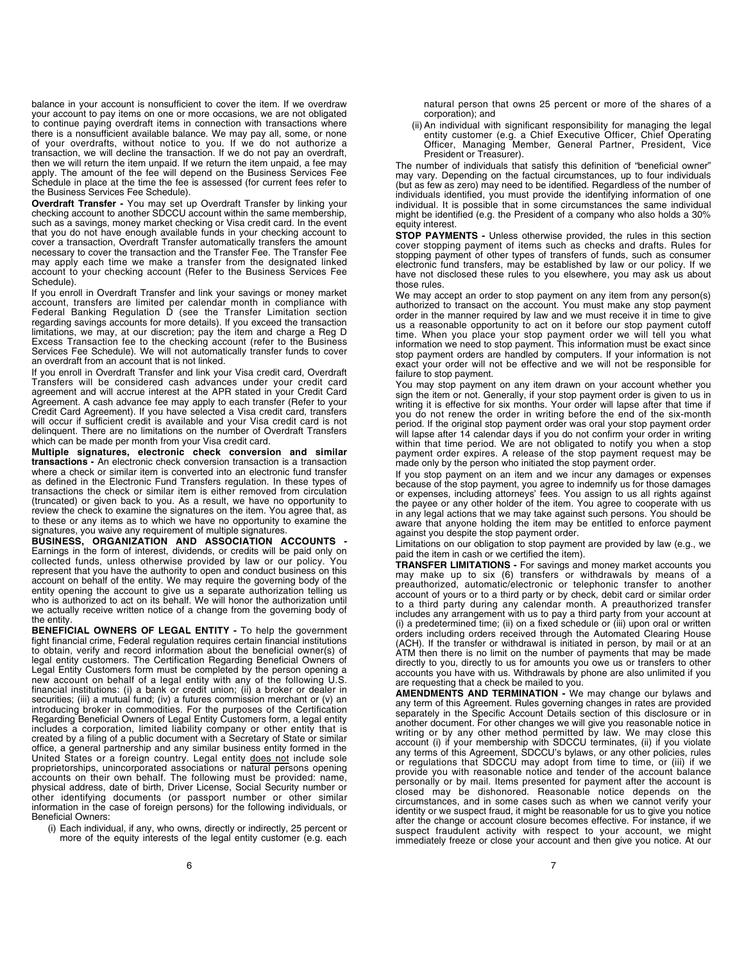balance in your account is nonsufficient to cover the item. If we overdraw your account to pay items on one or more occasions, we are not obligated to continue paying overdraft items in connection with transactions where there is a nonsufficient available balance. We may pay all, some, or none of your overdrafts, without notice to you. If we do not authorize a transaction, we will decline the transaction. If we do not pay an overdraft, then we will return the item unpaid. If we return the item unpaid, a fee may apply. The amount of the fee will depend on the Business Services Fee Schedule in place at the time the fee is assessed (for current fees refer to the Business Services Fee Schedule).

Overdraft Transfer - You may set up Overdraft Transfer by linking your checking account to another SDCCU account within the same membership, such as a savings, money market checking or Visa credit card. In the event that you do not have enough available funds in your checking account to cover a transaction, Overdraft Transfer automatically transfers the amount necessary to cover the transaction and the Transfer Fee. The Transfer Fee may apply each time we make a transfer from the designated linked account to your checking account (Refer to the Business Services Fee Schedule).

If you enroll in Overdraft Transfer and link your savings or money market account, transfers are limited per calendar month in compliance with Federal Banking Regulation D (see the Transfer Limitation section regarding savings accounts for more details). If you exceed the transaction limitations, we may, at our discretion; pay the item and charge a Reg D Excess Transaction fee to the checking account (refer to the Business Services Fee Schedule). We will not automatically transfer funds to cover an overdraft from an account that is not linked.

If you enroll in Overdraft Transfer and link your Visa credit card, Overdraft Transfers will be considered cash advances under your credit card agreement and will accrue interest at the APR stated in your Credit Card Agreement. A cash advance fee may apply to each transfer (Refer to your Credit Card Agreement). If you have selected a Visa credit card, transfers will occur if sufficient credit is available and your Visa credit card is not delinquent. There are no limitations on the number of Overdraft Transfers which can be made per month from your Visa credit card.

Multiple signatures, electronic check conversion and similar transactions - An electronic check conversion transaction is a transaction where a check or similar item is converted into an electronic fund transfer as defined in the Electronic Fund Transfers regulation. In these types of transactions the check or similar item is either removed from circulation (truncated) or given back to you. As a result, we have no opportunity to review the check to examine the signatures on the item. You agree that, as to these or any items as to which we have no opportunity to examine the signatures, you waive any requirement of multiple signatures.

BUSINESS, ORGANIZATION AND ASSOCIATION ACCOUNTS - Earnings in the form of interest, dividends, or credits will be paid only on collected funds, unless otherwise provided by law or our policy. You represent that you have the authority to open and conduct business on this account on behalf of the entity. We may require the governing body of the entity opening the account to give us a separate authorization telling us who is authorized to act on its behalf. We will honor the authorization until we actually receive written notice of a change from the governing body of the entity.

BENEFICIAL OWNERS OF LEGAL ENTITY - To help the government fight financial crime, Federal regulation requires certain financial institutions to obtain, verify and record information about the beneficial owner(s) of legal entity customers. The Certification Regarding Beneficial Owners of Legal Entity Customers form must be completed by the person opening a new account on behalf of a legal entity with any of the following U.S. financial institutions: (i) a bank or credit union; (ii) a broker or dealer in securities; (iii) a mutual fund; (iv) a futures commission merchant or (v) an introducing broker in commodities. For the purposes of the Certification Regarding Beneficial Owners of Legal Entity Customers form, a legal entity includes a corporation, limited liability company or other entity that is created by a filing of a public document with a Secretary of State or similar office, a general partnership and any similar business entity formed in the United States or a foreign country. Legal entity does not include sole proprietorships, unincorporated associations or natural persons opening accounts on their own behalf. The following must be provided: name, physical address, date of birth, Driver License, Social Security number or other identifying documents (or passport number or other similar information in the case of foreign persons) for the following individuals, or Beneficial Owners:

(i) Each individual, if any, who owns, directly or indirectly, 25 percent or more of the equity interests of the legal entity customer (e.g. each

natural person that owns 25 percent or more of the shares of a corporation); and

(ii) An individual with significant responsibility for managing the legal entity customer (e.g. a Chief Executive Officer, Chief Operating Officer, Managing Member, General Partner, President, Vice President or Treasurer).

The number of individuals that satisfy this definition of "beneficial owner" may vary. Depending on the factual circumstances, up to four individuals (but as few as zero) may need to be identified. Regardless of the number of individuals identified, you must provide the identifying information of one individual. It is possible that in some circumstances the same individual might be identified (e.g. the President of a company who also holds a 30% equity interest.

STOP PAYMENTS - Unless otherwise provided, the rules in this section cover stopping payment of items such as checks and drafts. Rules for stopping payment of other types of transfers of funds, such as consumer electronic fund transfers, may be established by law or our policy. If we have not disclosed these rules to you elsewhere, you may ask us about those rules.

We may accept an order to stop payment on any item from any person(s) authorized to transact on the account. You must make any stop payment order in the manner required by law and we must receive it in time to give us a reasonable opportunity to act on it before our stop payment cutoff time. When you place your stop payment order we will tell you what information we need to stop payment. This information must be exact since stop payment orders are handled by computers. If your information is not exact your order will not be effective and we will not be responsible for failure to stop payment.

You may stop payment on any item drawn on your account whether you sign the item or not. Generally, if your stop payment order is given to us in writing it is effective for six months. Your order will lapse after that time if you do not renew the order in writing before the end of the six-month period. If the original stop payment order was oral your stop payment order will lapse after 14 calendar days if you do not confirm your order in writing within that time period. We are not obligated to notify you when a stop payment order expires. A release of the stop payment request may be made only by the person who initiated the stop payment order.

If you stop payment on an item and we incur any damages or expenses because of the stop payment, you agree to indemnify us for those damages or expenses, including attorneys' fees. You assign to us all rights against the payee or any other holder of the item. You agree to cooperate with us in any legal actions that we may take against such persons. You should be aware that anyone holding the item may be entitled to enforce payment against you despite the stop payment order.

Limitations on our obligation to stop payment are provided by law (e.g., we paid the item in cash or we certified the item).

TRANSFER LIMITATIONS - For savings and money market accounts you may make up to six (6) transfers or withdrawals by means of a preauthorized, automatic/electronic or telephonic transfer to another account of yours or to a third party or by check, debit card or similar order to a third party during any calendar month. A preauthorized transfer includes any arrangement with us to pay a third party from your account at (i) a predetermined time; (ii) on a fixed schedule or (iii) upon oral or written orders including orders received through the Automated Clearing House (ACH). If the transfer or withdrawal is initiated in person, by mail or at an ATM then there is no limit on the number of payments that may be made directly to you, directly to us for amounts you owe us or transfers to other accounts you have with us. Withdrawals by phone are also unlimited if you are requesting that a check be mailed to you.

AMENDMENTS AND TERMINATION - We may change our bylaws and any term of this Agreement. Rules governing changes in rates are provided separately in the Specific Account Details section of this disclosure or in another document. For other changes we will give you reasonable notice in writing or by any other method permitted by law. We may close this account (i) if your membership with SDCCU terminates, (ii) if you violate any terms of this Agreement, SDCCU's bylaws, or any other policies, rules or regulations that SDCCU may adopt from time to time, or (iii) if we provide you with reasonable notice and tender of the account balance personally or by mail. Items presented for payment after the account is closed may be dishonored. Reasonable notice depends on the circumstances, and in some cases such as when we cannot verify your identity or we suspect fraud, it might be reasonable for us to give you notice after the change or account closure becomes effective. For instance, if we suspect fraudulent activity with respect to your account, we might immediately freeze or close your account and then give you notice. At our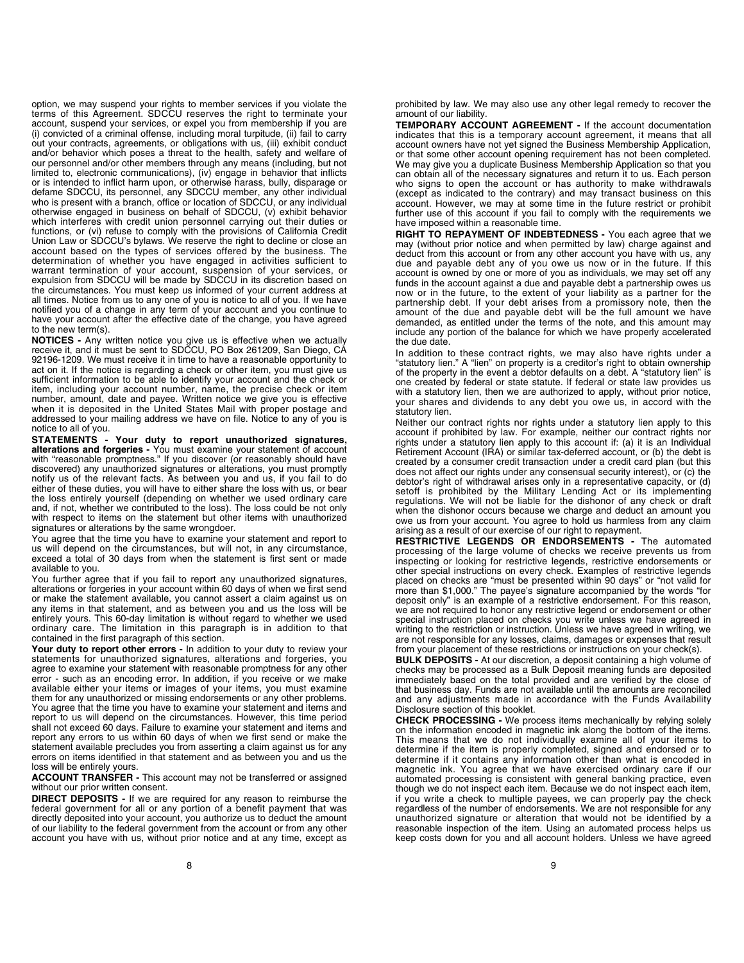option, we may suspend your rights to member services if you violate the terms of this Agreement. SDCCU reserves the right to terminate your account, suspend your services, or expel you from membership if you are (i) convicted of a criminal offense, including moral turpitude, (ii) fail to carry out your contracts, agreements, or obligations with us, (iii) exhibit conduct and/or behavior which poses a threat to the health, safety and welfare of our personnel and/or other members through any means (including, but not limited to, electronic communications), (iv) engage in behavior that inflicts or is intended to inflict harm upon, or otherwise harass, bully, disparage or defame SDCCU, its personnel, any SDCCU member, any other individual who is present with a branch, office or location of SDCCU, or any individual otherwise engaged in business on behalf of SDCCU, (v) exhibit behavior which interferes with credit union personnel carrying out their duties or functions, or (vi) refuse to comply with the provisions of California Credit Union Law or SDCCU's bylaws. We reserve the right to decline or close an account based on the types of services offered by the business. The determination of whether you have engaged in activities sufficient to warrant termination of your account, suspension of your services, or expulsion from SDCCU will be made by SDCCU in its discretion based on the circumstances. You must keep us informed of your current address at all times. Notice from us to any one of you is notice to all of you. If we have notified you of a change in any term of your account and you continue to have your account after the effective date of the change, you have agreed to the new term(s).

NOTICES - Any written notice you give us is effective when we actually receive it, and it must be sent to SDCCU, PO Box 261209, San Diego, CA 92196-1209. We must receive it in time to have a reasonable opportunity to act on it. If the notice is regarding a check or other item, you must give us sufficient information to be able to identify your account and the check or item, including your account number, name, the precise check or item number, amount, date and payee. Written notice we give you is effective when it is deposited in the United States Mail with proper postage and addressed to your mailing address we have on file. Notice to any of you is notice to all of you.

STATEMENTS - Your duty to report unauthorized signatures, alterations and forgeries - You must examine your statement of account with "reasonable promptness." If you discover (or reasonably should have discovered) any unauthorized signatures or alterations, you must promptly notify us of the relevant facts. As between you and us, if you fail to do either of these duties, you will have to either share the loss with us, or bear the loss entirely yourself (depending on whether we used ordinary care and, if not, whether we contributed to the loss). The loss could be not only with respect to items on the statement but other items with unauthorized signatures or alterations by the same wrongdoer.

You agree that the time you have to examine your statement and report to us will depend on the circumstances, but will not, in any circumstance, exceed a total of 30 days from when the statement is first sent or made available to you.

You further agree that if you fail to report any unauthorized signatures, alterations or forgeries in your account within 60 days of when we first send or make the statement available, you cannot assert a claim against us on any items in that statement, and as between you and us the loss will be entirely yours. This 60-day limitation is without regard to whether we used ordinary care. The limitation in this paragraph is in addition to that contained in the first paragraph of this section.

Your duty to report other errors - In addition to your duty to review your statements for unauthorized signatures, alterations and forgeries, you agree to examine your statement with reasonable promptness for any other error - such as an encoding error. In addition, if you receive or we make available either your items or images of your items, you must examine them for any unauthorized or missing endorsements or any other problems. You agree that the time you have to examine your statement and items and report to us will depend on the circumstances. However, this time period shall not exceed 60 days. Failure to examine your statement and items and report any errors to us within 60 days of when we first send or make the statement available precludes you from asserting a claim against us for any errors on items identified in that statement and as between you and us the loss will be entirely yours.

ACCOUNT TRANSFER - This account may not be transferred or assigned without our prior written consent.

DIRECT DEPOSITS - If we are required for any reason to reimburse the federal government for all or any portion of a benefit payment that was directly deposited into your account, you authorize us to deduct the amount of our liability to the federal government from the account or from any other account you have with us, without prior notice and at any time, except as

prohibited by law. We may also use any other legal remedy to recover the amount of our liability.

TEMPORARY ACCOUNT AGREEMENT - If the account documentation indicates that this is a temporary account agreement, it means that all account owners have not yet signed the Business Membership Application, or that some other account opening requirement has not been completed. We may give you a duplicate Business Membership Application so that you can obtain all of the necessary signatures and return it to us. Each person who signs to open the account or has authority to make withdrawals (except as indicated to the contrary) and may transact business on this account. However, we may at some time in the future restrict or prohibit further use of this account if you fail to comply with the requirements we have imposed within a reasonable time.

RIGHT TO REPAYMENT OF INDEBTEDNESS - You each agree that we may (without prior notice and when permitted by law) charge against and deduct from this account or from any other account you have with us, any due and payable debt any of you owe us now or in the future. If this account is owned by one or more of you as individuals, we may set off any funds in the account against a due and payable debt a partnership owes us now or in the future, to the extent of your liability as a partner for the partnership debt. If your debt arises from a promissory note, then the amount of the due and payable debt will be the full amount we have demanded, as entitled under the terms of the note, and this amount may include any portion of the balance for which we have properly accelerated the due date.

In addition to these contract rights, we may also have rights under a "statutory lien." A "lien" on property is a creditor's right to obtain ownership of the property in the event a debtor defaults on a debt. A "statutory lien" is one created by federal or state statute. If federal or state law provides us with a statutory lien, then we are authorized to apply, without prior notice, your shares and dividends to any debt you owe us, in accord with the statutory lien.

Neither our contract rights nor rights under a statutory lien apply to this account if prohibited by law. For example, neither our contract rights nor rights under a statutory lien apply to this account if: (a) it is an Individual Retirement Account (IRA) or similar tax-deferred account, or (b) the debt is created by a consumer credit transaction under a credit card plan (but this does not affect our rights under any consensual security interest), or (c) the debtor's right of withdrawal arises only in a representative capacity, or (d) setoff is prohibited by the Military Lending Act or its implementing regulations. We will not be liable for the dishonor of any check or draft when the dishonor occurs because we charge and deduct an amount you owe us from your account. You agree to hold us harmless from any claim arising as a result of our exercise of our right to repayment.

RESTRICTIVE LEGENDS OR ENDORSEMENTS - The automated processing of the large volume of checks we receive prevents us from inspecting or looking for restrictive legends, restrictive endorsements or other special instructions on every check. Examples of restrictive legends placed on checks are "must be presented within 90 days" or "not valid for more than \$1,000." The payee's signature accompanied by the words "for deposit only" is an example of a restrictive endorsement. For this reason, we are not required to honor any restrictive legend or endorsement or other special instruction placed on checks you write unless we have agreed in writing to the restriction or instruction. Unless we have agreed in writing, we are not responsible for any losses, claims, damages or expenses that result from your placement of these restrictions or instructions on your check(s).

BULK DEPOSITS - At our discretion, a deposit containing a high volume of checks may be processed as a Bulk Deposit meaning funds are deposited immediately based on the total provided and are verified by the close of that business day. Funds are not available until the amounts are reconciled and any adjustments made in accordance with the Funds Availability Disclosure section of this booklet.

CHECK PROCESSING - We process items mechanically by relying solely on the information encoded in magnetic ink along the bottom of the items. This means that we do not individually examine all of your items to determine if the item is properly completed, signed and endorsed or to determine if it contains any information other than what is encoded in magnetic ink. You agree that we have exercised ordinary care if our automated processing is consistent with general banking practice, even though we do not inspect each item. Because we do not inspect each item, if you write a check to multiple payees, we can properly pay the check regardless of the number of endorsements. We are not responsible for any unauthorized signature or alteration that would not be identified by a reasonable inspection of the item. Using an automated process helps us keep costs down for you and all account holders. Unless we have agreed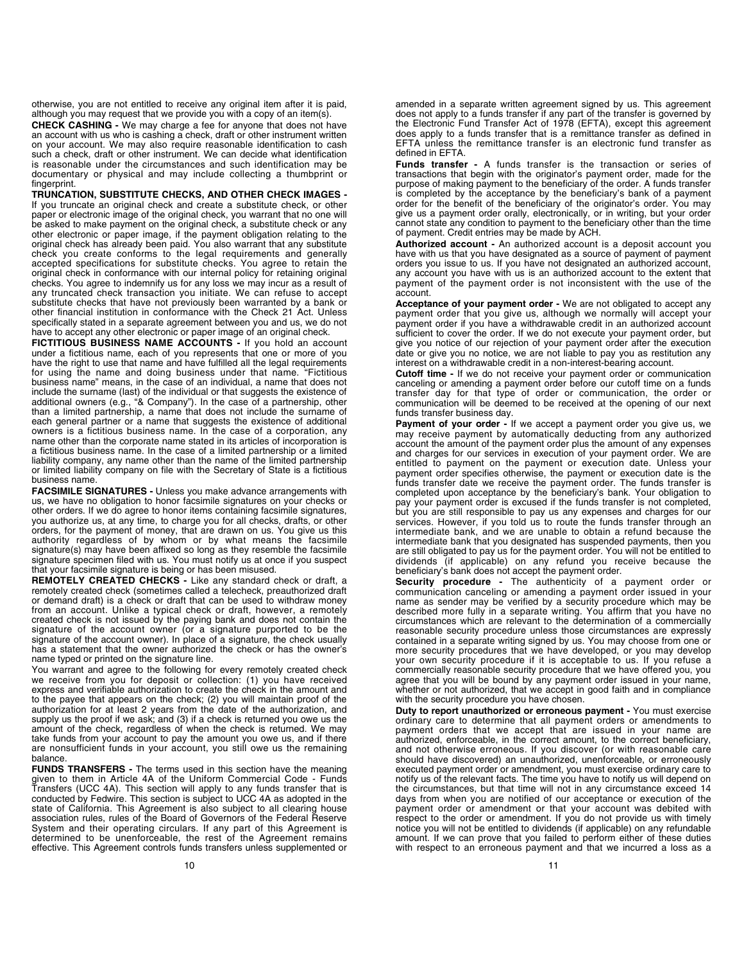otherwise, you are not entitled to receive any original item after it is paid, although you may request that we provide you with a copy of an item(s).

CHECK CASHING - We may charge a fee for anyone that does not have an account with us who is cashing a check, draft or other instrument written on your account. We may also require reasonable identification to cash such a check, draft or other instrument. We can decide what identification is reasonable under the circumstances and such identification may be documentary or physical and may include collecting a thumbprint or fingerprint.

TRUNCATION, SUBSTITUTE CHECKS, AND OTHER CHECK IMAGES - If you truncate an original check and create a substitute check, or other paper or electronic image of the original check, you warrant that no one will be asked to make payment on the original check, a substitute check or any other electronic or paper image, if the payment obligation relating to the original check has already been paid. You also warrant that any substitute check you create conforms to the legal requirements and generally accepted specifications for substitute checks. You agree to retain the original check in conformance with our internal policy for retaining original checks. You agree to indemnify us for any loss we may incur as a result of any truncated check transaction you initiate. We can refuse to accept substitute checks that have not previously been warranted by a bank or other financial institution in conformance with the Check 21 Act. Unless specifically stated in a separate agreement between you and us, we do not have to accept any other electronic or paper image of an original check.

FICTITIOUS BUSINESS NAME ACCOUNTS - If you hold an account under a fictitious name, each of you represents that one or more of you have the right to use that name and have fulfilled all the legal requirements for using the name and doing business under that name. "Fictitious business name" means, in the case of an individual, a name that does not include the surname (last) of the individual or that suggests the existence of additional owners (e.g., "& Company"). In the case of a partnership, other than a limited partnership, a name that does not include the surname of each general partner or a name that suggests the existence of additional owners is a fictitious business name. In the case of a corporation, any name other than the corporate name stated in its articles of incorporation is a fictitious business name. In the case of a limited partnership or a limited liability company, any name other than the name of the limited partnership or limited liability company on file with the Secretary of State is a fictitious business name.

FACSIMILE SIGNATURES - Unless you make advance arrangements with us, we have no obligation to honor facsimile signatures on your checks or other orders. If we do agree to honor items containing facsimile signatures, you authorize us, at any time, to charge you for all checks, drafts, or other orders, for the payment of money, that are drawn on us. You give us this authority regardless of by whom or by what means the facsimile signature(s) may have been affixed so long as they resemble the facsimile signature specimen filed with us. You must notify us at once if you suspect that your facsimile signature is being or has been misused.

REMOTELY CREATED CHECKS - Like any standard check or draft, a remotely created check (sometimes called a telecheck, preauthorized draft or demand draft) is a check or draft that can be used to withdraw money from an account. Unlike a typical check or draft, however, a remotely created check is not issued by the paying bank and does not contain the signature of the account owner (or a signature purported to be the signature of the account owner). In place of a signature, the check usually has a statement that the owner authorized the check or has the owner's name typed or printed on the signature line.

You warrant and agree to the following for every remotely created check we receive from you for deposit or collection: (1) you have received express and verifiable authorization to create the check in the amount and to the payee that appears on the check; (2) you will maintain proof of the authorization for at least 2 years from the date of the authorization, and supply us the proof if we ask; and (3) if a check is returned you owe us the amount of the check, regardless of when the check is returned. We may take funds from your account to pay the amount you owe us, and if there are nonsufficient funds in your account, you still owe us the remaining balance.

FUNDS TRANSFERS - The terms used in this section have the meaning given to them in Article 4A of the Uniform Commercial Code - Funds Transfers (UCC 4A). This section will apply to any funds transfer that is conducted by Fedwire. This section is subject to UCC 4A as adopted in the state of California. This Agreement is also subject to all clearing house association rules, rules of the Board of Governors of the Federal Reserve System and their operating circulars. If any part of this Agreement is determined to be unenforceable, the rest of the Agreement remains effective. This Agreement controls funds transfers unless supplemented or

amended in a separate written agreement signed by us. This agreement does not apply to a funds transfer if any part of the transfer is governed by the Electronic Fund Transfer Act of 1978 (EFTA), except this agreement does apply to a funds transfer that is a remittance transfer as defined in EFTA unless the remittance transfer is an electronic fund transfer as defined in EFTA.

Funds transfer - A funds transfer is the transaction or series of transactions that begin with the originator's payment order, made for the purpose of making payment to the beneficiary of the order. A funds transfer is completed by the acceptance by the beneficiary's bank of a payment order for the benefit of the beneficiary of the originator's order. You may give us a payment order orally, electronically, or in writing, but your order cannot state any condition to payment to the beneficiary other than the time of payment. Credit entries may be made by ACH.

Authorized account - An authorized account is a deposit account you have with us that you have designated as a source of payment of payment orders you issue to us. If you have not designated an authorized account, any account you have with us is an authorized account to the extent that payment of the payment order is not inconsistent with the use of the account.

Acceptance of your payment order - We are not obligated to accept any payment order that you give us, although we normally will accept your payment order if you have a withdrawable credit in an authorized account sufficient to cover the order. If we do not execute your payment order, but give you notice of our rejection of your payment order after the execution date or give you no notice, we are not liable to pay you as restitution any interest on a withdrawable credit in a non-interest-bearing account.

**Cutoff time -** If we do not receive your payment order or communication canceling or amending a payment order before our cutoff time on a funds transfer day for that type of order or communication, the order or communication will be deemed to be received at the opening of our next funds transfer business day.

Payment of your order - If we accept a payment order you give us, we may receive payment by automatically deducting from any authorized account the amount of the payment order plus the amount of any expenses and charges for our services in execution of your payment order. We are entitled to payment on the payment or execution date. Unless your payment order specifies otherwise, the payment or execution date is the funds transfer date we receive the payment order. The funds transfer is completed upon acceptance by the beneficiary's bank. Your obligation to pay your payment order is excused if the funds transfer is not completed, but you are still responsible to pay us any expenses and charges for our services. However, if you told us to route the funds transfer through an intermediate bank, and we are unable to obtain a refund because the intermediate bank that you designated has suspended payments, then you are still obligated to pay us for the payment order. You will not be entitled to dividends (if applicable) on any refund you receive because the beneficiary's bank does not accept the payment order.

Security procedure - The authenticity of a payment order or communication canceling or amending a payment order issued in your name as sender may be verified by a security procedure which may be described more fully in a separate writing. You affirm that you have no circumstances which are relevant to the determination of a commercially reasonable security procedure unless those circumstances are expressly contained in a separate writing signed by us. You may choose from one or more security procedures that we have developed, or you may develop your own security procedure if it is acceptable to us. If you refuse a commercially reasonable security procedure that we have offered you, you agree that you will be bound by any payment order issued in your name, whether or not authorized, that we accept in good faith and in compliance with the security procedure you have chosen.

Duty to report unauthorized or erroneous payment - You must exercise ordinary care to determine that all payment orders or amendments to payment orders that we accept that are issued in your name are authorized, enforceable, in the correct amount, to the correct beneficiary, and not otherwise erroneous. If you discover (or with reasonable care should have discovered) an unauthorized, unenforceable, or erroneously executed payment order or amendment, you must exercise ordinary care to notify us of the relevant facts. The time you have to notify us will depend on the circumstances, but that time will not in any circumstance exceed 14 days from when you are notified of our acceptance or execution of the payment order or amendment or that your account was debited with respect to the order or amendment. If you do not provide us with timely notice you will not be entitled to dividends (if applicable) on any refundable amount. If we can prove that you failed to perform either of these duties with respect to an erroneous payment and that we incurred a loss as a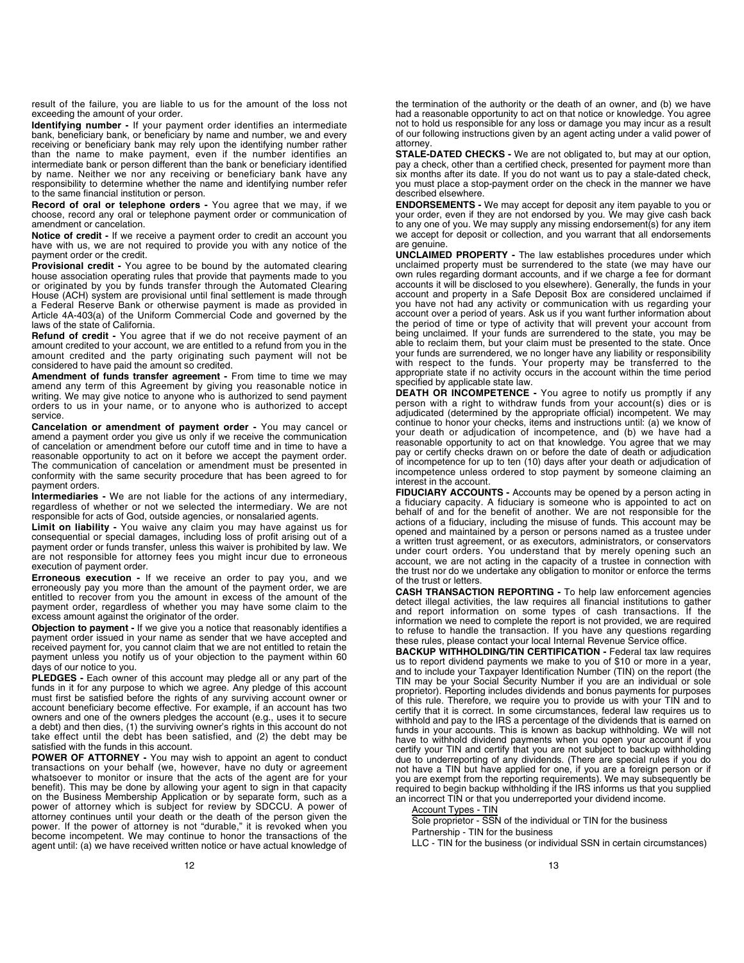result of the failure, you are liable to us for the amount of the loss not exceeding the amount of your order.

Identifying number - If your payment order identifies an intermediate bank, beneficiary bank, or beneficiary by name and number, we and every receiving or beneficiary bank may rely upon the identifying number rather than the name to make payment, even if the number identifies an intermediate bank or person different than the bank or beneficiary identified by name. Neither we nor any receiving or beneficiary bank have any responsibility to determine whether the name and identifying number refer to the same financial institution or person.

Record of oral or telephone orders - You agree that we may, if we choose, record any oral or telephone payment order or communication of amendment or cancelation.

Notice of credit - If we receive a payment order to credit an account you have with us, we are not required to provide you with any notice of the payment order or the credit.

Provisional credit - You agree to be bound by the automated clearing house association operating rules that provide that payments made to you or originated by you by funds transfer through the Automated Clearing House (ACH) system are provisional until final settlement is made through a Federal Reserve Bank or otherwise payment is made as provided in Article 4A-403(a) of the Uniform Commercial Code and governed by the laws of the state of California.

Refund of credit - You agree that if we do not receive payment of an amount credited to your account, we are entitled to a refund from you in the amount credited and the party originating such payment will not be considered to have paid the amount so credited.

Amendment of funds transfer agreement - From time to time we may amend any term of this Agreement by giving you reasonable notice in writing. We may give notice to anyone who is authorized to send payment orders to us in your name, or to anyone who is authorized to accept service.

Cancelation or amendment of payment order - You may cancel or amend a payment order you give us only if we receive the communication of cancelation or amendment before our cutoff time and in time to have a reasonable opportunity to act on it before we accept the payment order. The communication of cancelation or amendment must be presented in conformity with the same security procedure that has been agreed to for payment orders.

Intermediaries - We are not liable for the actions of any intermediary, regardless of whether or not we selected the intermediary. We are not responsible for acts of God, outside agencies, or nonsalaried agents.

Limit on liability - You waive any claim you may have against us for consequential or special damages, including loss of profit arising out of a payment order or funds transfer, unless this waiver is prohibited by law. We are not responsible for attorney fees you might incur due to erroneous execution of payment order.

Erroneous execution - If we receive an order to pay you, and we erroneously pay you more than the amount of the payment order, we are entitled to recover from you the amount in excess of the amount of the payment order, regardless of whether you may have some claim to the excess amount against the originator of the order.

Objection to payment - If we give you a notice that reasonably identifies a payment order issued in your name as sender that we have accepted and received payment for, you cannot claim that we are not entitled to retain the payment unless you notify us of your objection to the payment within 60 days of our notice to you.

PLEDGES - Each owner of this account may pledge all or any part of the funds in it for any purpose to which we agree. Any pledge of this account must first be satisfied before the rights of any surviving account owner or account beneficiary become effective. For example, if an account has two owners and one of the owners pledges the account (e.g., uses it to secure a debt) and then dies, (1) the surviving owner's rights in this account do not take effect until the debt has been satisfied, and (2) the debt may be satisfied with the funds in this account.

POWER OF ATTORNEY - You may wish to appoint an agent to conduct transactions on your behalf (we, however, have no duty or agreement whatsoever to monitor or insure that the acts of the agent are for your benefit). This may be done by allowing your agent to sign in that capacity on the Business Membership Application or by separate form, such as a power of attorney which is subject for review by SDCCU. A power of attorney continues until your death or the death of the person given the power. If the power of attorney is not "durable," it is revoked when you become incompetent. We may continue to honor the transactions of the agent until: (a) we have received written notice or have actual knowledge of

the termination of the authority or the death of an owner, and (b) we have had a reasonable opportunity to act on that notice or knowledge. You agree not to hold us responsible for any loss or damage you may incur as a result of our following instructions given by an agent acting under a valid power of attorney.

STALE-DATED CHECKS - We are not obligated to, but may at our option, pay a check, other than a certified check, presented for payment more than six months after its date. If you do not want us to pay a stale-dated check, you must place a stop-payment order on the check in the manner we have described elsewhere.

ENDORSEMENTS - We may accept for deposit any item payable to you or your order, even if they are not endorsed by you. We may give cash back to any one of you. We may supply any missing endorsement(s) for any item we accept for deposit or collection, and you warrant that all endorsements are genuine.

UNCLAIMED PROPERTY - The law establishes procedures under which unclaimed property must be surrendered to the state (we may have our own rules regarding dormant accounts, and if we charge a fee for dormant accounts it will be disclosed to you elsewhere). Generally, the funds in your account and property in a Safe Deposit Box are considered unclaimed if you have not had any activity or communication with us regarding your account over a period of years. Ask us if you want further information about the period of time or type of activity that will prevent your account from being unclaimed. If your funds are surrendered to the state, you may be able to reclaim them, but your claim must be presented to the state. Once your funds are surrendered, we no longer have any liability or responsibility with respect to the funds. Your property may be transferred to the appropriate state if no activity occurs in the account within the time period specified by applicable state law.

DEATH OR INCOMPETENCE - You agree to notify us promptly if any person with a right to withdraw funds from your account(s) dies or is adjudicated (determined by the appropriate official) incompetent. We may continue to honor your checks, items and instructions until: (a) we know of your death or adjudication of incompetence, and (b) we have had a reasonable opportunity to act on that knowledge. You agree that we may pay or certify checks drawn on or before the date of death or adjudication of incompetence for up to ten (10) days after your death or adjudication of incompetence unless ordered to stop payment by someone claiming an interest in the account.

FIDUCIARY ACCOUNTS - Accounts may be opened by a person acting in a fiduciary capacity. A fiduciary is someone who is appointed to act on behalf of and for the benefit of another. We are not responsible for the actions of a fiduciary, including the misuse of funds. This account may be opened and maintained by a person or persons named as a trustee under a written trust agreement, or as executors, administrators, or conservators under court orders. You understand that by merely opening such an account, we are not acting in the capacity of a trustee in connection with the trust nor do we undertake any obligation to monitor or enforce the terms of the trust or letters.

CASH TRANSACTION REPORTING - To help law enforcement agencies detect illegal activities, the law requires all financial institutions to gather and report information on some types of cash transactions. If the information we need to complete the report is not provided, we are required to refuse to handle the transaction. If you have any questions regarding these rules, please contact your local Internal Revenue Service office.

BACKUP WITHHOLDING/TIN CERTIFICATION - Federal tax law requires us to report dividend payments we make to you of \$10 or more in a year, and to include your Taxpayer Identification Number (TIN) on the report (the TIN may be your Social Security Number if you are an individual or sole proprietor). Reporting includes dividends and bonus payments for purposes of this rule. Therefore, we require you to provide us with your TIN and to certify that it is correct. In some circumstances, federal law requires us to withhold and pay to the IRS a percentage of the dividends that is earned on funds in your accounts. This is known as backup withholding. We will not have to withhold dividend payments when you open your account if you certify your TIN and certify that you are not subject to backup withholding due to underreporting of any dividends. (There are special rules if you do not have a TIN but have applied for one, if you are a foreign person or if you are exempt from the reporting requirements). We may subsequently be required to begin backup withholding if the IRS informs us that you supplied an incorrect TIN or that you underreported your dividend income.

Account Types - TIN

Sole proprietor - SSN of the individual or TIN for the business Partnership - TIN for the business

LLC - TIN for the business (or individual SSN in certain circumstances)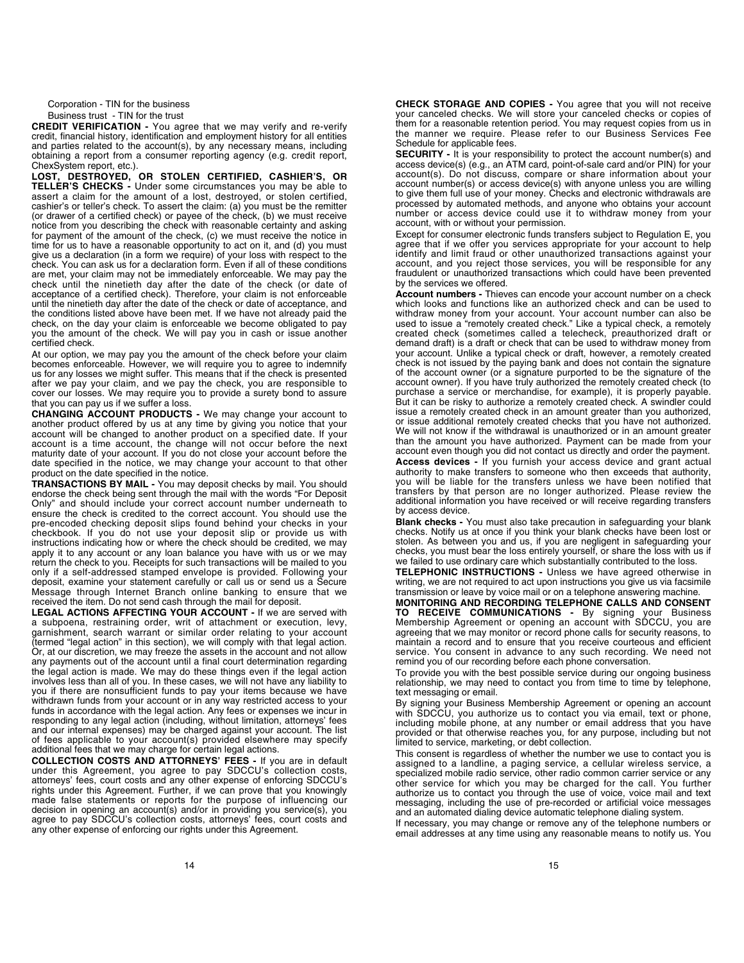Corporation - TIN for the business Business trust - TIN for the trust

CREDIT VERIFICATION - You agree that we may verify and re-verify credit, financial history, identification and employment history for all entities and parties related to the account(s), by any necessary means, including obtaining a report from a consumer reporting agency (e.g. credit report, ChexSystem report, etc.).

LOST, DESTROYED, OR STOLEN CERTIFIED, CASHIER'S, OR TELLER'S CHECKS - Under some circumstances you may be able to assert a claim for the amount of a lost, destroyed, or stolen certified, cashier's or teller's check. To assert the claim: (a) you must be the remitter (or drawer of a certified check) or payee of the check, (b) we must receive notice from you describing the check with reasonable certainty and asking for payment of the amount of the check, (c) we must receive the notice in time for us to have a reasonable opportunity to act on it, and (d) you must give us a declaration (in a form we require) of your loss with respect to the check. You can ask us for a declaration form. Even if all of these conditions are met, your claim may not be immediately enforceable. We may pay the check until the ninetieth day after the date of the check (or date of acceptance of a certified check). Therefore, your claim is not enforceable until the ninetieth day after the date of the check or date of acceptance, and the conditions listed above have been met. If we have not already paid the check, on the day your claim is enforceable we become obligated to pay you the amount of the check. We will pay you in cash or issue another certified check.

At our option, we may pay you the amount of the check before your claim becomes enforceable. However, we will require you to agree to indemnify us for any losses we might suffer. This means that if the check is presented after we pay your claim, and we pay the check, you are responsible to cover our losses. We may require you to provide a surety bond to assure that you can pay us if we suffer a loss.

CHANGING ACCOUNT PRODUCTS - We may change your account to another product offered by us at any time by giving you notice that your account will be changed to another product on a specified date. If your account is a time account, the change will not occur before the next maturity date of your account. If you do not close your account before the date specified in the notice, we may change your account to that other product on the date specified in the notice.

TRANSACTIONS BY MAIL - You may deposit checks by mail. You should endorse the check being sent through the mail with the words "For Deposit Only" and should include your correct account number underneath to ensure the check is credited to the correct account. You should use the pre-encoded checking deposit slips found behind your checks in your checkbook. If you do not use your deposit slip or provide us with instructions indicating how or where the check should be credited, we may apply it to any account or any loan balance you have with us or we may return the check to you. Receipts for such transactions will be mailed to you only if a self-addressed stamped envelope is provided. Following your deposit, examine your statement carefully or call us or send us a Secure Message through Internet Branch online banking to ensure that we received the item. Do not send cash through the mail for deposit.

LEGAL ACTIONS AFFECTING YOUR ACCOUNT - If we are served with a subpoena, restraining order, writ of attachment or execution, levy, garnishment, search warrant or similar order relating to your account (termed "legal action" in this section), we will comply with that legal action. Or, at our discretion, we may freeze the assets in the account and not allow any payments out of the account until a final court determination regarding the legal action is made. We may do these things even if the legal action involves less than all of you. In these cases, we will not have any liability to you if there are nonsufficient funds to pay your items because we have withdrawn funds from your account or in any way restricted access to your funds in accordance with the legal action. Any fees or expenses we incur in responding to any legal action (including, without limitation, attorneys' fees and our internal expenses) may be charged against your account. The list of fees applicable to your account(s) provided elsewhere may specify additional fees that we may charge for certain legal actions.

COLLECTION COSTS AND ATTORNEYS' FEES - If you are in default under this Agreement, you agree to pay SDCCU's collection costs, attorneys' fees, court costs and any other expense of enforcing SDCCU's rights under this Agreement. Further, if we can prove that you knowingly made false statements or reports for the purpose of influencing our decision in opening an account(s) and/or in providing you service(s), you agree to pay SDCCU's collection costs, attorneys' fees, court costs and any other expense of enforcing our rights under this Agreement.

CHECK STORAGE AND COPIES - You agree that you will not receive your canceled checks. We will store your canceled checks or copies of them for a reasonable retention period. You may request copies from us in the manner we require. Please refer to our Business Services Fee Schedule for applicable fees.

SECURITY - It is your responsibility to protect the account number(s) and access device(s) (e.g., an ATM card, point-of-sale card and/or PIN) for your account(s). Do not discuss, compare or share information about your account number(s) or access device(s) with anyone unless you are willing to give them full use of your money. Checks and electronic withdrawals are processed by automated methods, and anyone who obtains your account number or access device could use it to withdraw money from your account, with or without your permission.

Except for consumer electronic funds transfers subject to Regulation E, you agree that if we offer you services appropriate for your account to help identify and limit fraud or other unauthorized transactions against your account, and you reject those services, you will be responsible for any fraudulent or unauthorized transactions which could have been prevented by the services we offered.

Account numbers - Thieves can encode your account number on a check which looks and functions like an authorized check and can be used to withdraw money from your account. Your account number can also be used to issue a "remotely created check." Like a typical check, a remotely created check (sometimes called a telecheck, preauthorized draft or demand draft) is a draft or check that can be used to withdraw money from your account. Unlike a typical check or draft, however, a remotely created check is not issued by the paying bank and does not contain the signature of the account owner (or a signature purported to be the signature of the account owner). If you have truly authorized the remotely created check (to purchase a service or merchandise, for example), it is properly payable. But it can be risky to authorize a remotely created check. A swindler could issue a remotely created check in an amount greater than you authorized, or issue additional remotely created checks that you have not authorized. We will not know if the withdrawal is unauthorized or in an amount greater than the amount you have authorized. Payment can be made from your account even though you did not contact us directly and order the payment. Access devices - If you furnish your access device and grant actual authority to make transfers to someone who then exceeds that authority, you will be liable for the transfers unless we have been notified that transfers by that person are no longer authorized. Please review the additional information you have received or will receive regarding transfers by access device.

Blank checks - You must also take precaution in safeguarding your blank checks. Notify us at once if you think your blank checks have been lost or stolen. As between you and us, if you are negligent in safeguarding your checks, you must bear the loss entirely yourself, or share the loss with us if we failed to use ordinary care which substantially contributed to the loss.

TELEPHONIC INSTRUCTIONS - Unless we have agreed otherwise in writing, we are not required to act upon instructions you give us via facsimile transmission or leave by voice mail or on a telephone answering machine.

MONITORING AND RECORDING TELEPHONE CALLS AND CONSENT TO RECEIVE COMMUNICATIONS - By signing your Business Membership Agreement or opening an account with SDCCU, you are agreeing that we may monitor or record phone calls for security reasons, to maintain a record and to ensure that you receive courteous and efficient service. You consent in advance to any such recording. We need not remind you of our recording before each phone conversation.

To provide you with the best possible service during our ongoing business relationship, we may need to contact you from time to time by telephone, text messaging or email.

By signing your Business Membership Agreement or opening an account with SDCCU, you authorize us to contact you via email, text or phone, including mobile phone, at any number or email address that you have provided or that otherwise reaches you, for any purpose, including but not limited to service, marketing, or debt collection.

This consent is regardless of whether the number we use to contact you is assigned to a landline, a paging service, a cellular wireless service, a specialized mobile radio service, other radio common carrier service or any other service for which you may be charged for the call. You further authorize us to contact you through the use of voice, voice mail and text messaging, including the use of pre-recorded or artificial voice messages and an automated dialing device automatic telephone dialing system.

If necessary, you may change or remove any of the telephone numbers or email addresses at any time using any reasonable means to notify us. You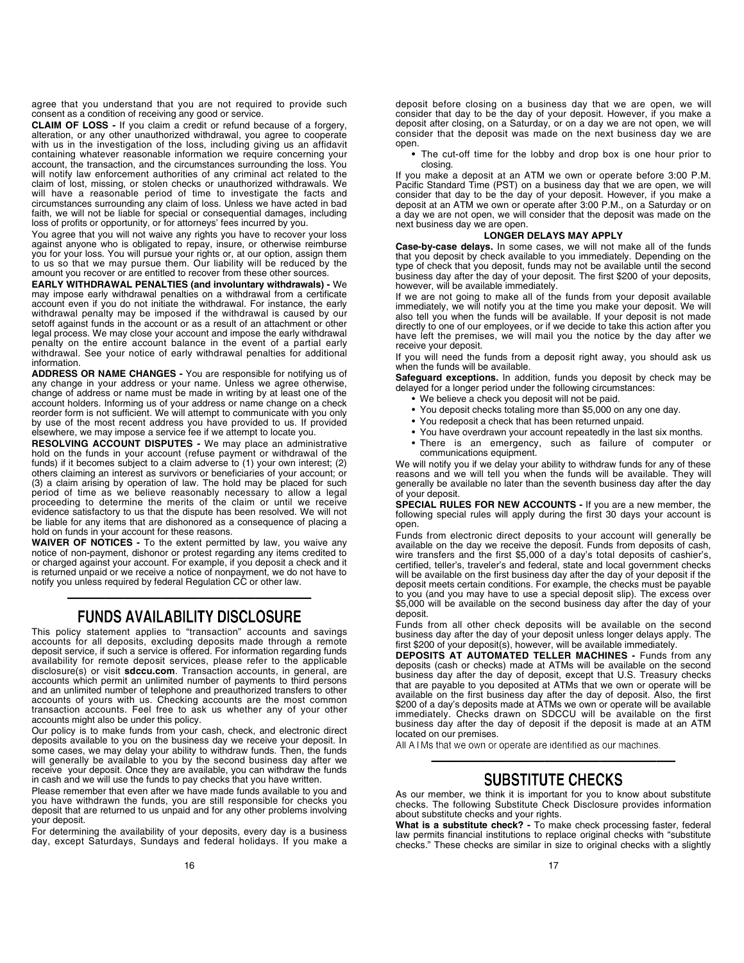agree that you understand that you are not required to provide such consent as a condition of receiving any good or service.

CLAIM OF LOSS - If you claim a credit or refund because of a forgery, alteration, or any other unauthorized withdrawal, you agree to cooperate with us in the investigation of the loss, including giving us an affidavit containing whatever reasonable information we require concerning your account, the transaction, and the circumstances surrounding the loss. You will notify law enforcement authorities of any criminal act related to the claim of lost, missing, or stolen checks or unauthorized withdrawals. We will have a reasonable period of time to investigate the facts and circumstances surrounding any claim of loss. Unless we have acted in bad faith, we will not be liable for special or consequential damages, including loss of profits or opportunity, or for attorneys' fees incurred by you.

You agree that you will not waive any rights you have to recover your loss against anyone who is obligated to repay, insure, or otherwise reimburse you for your loss. You will pursue your rights or, at our option, assign them to us so that we may pursue them. Our liability will be reduced by the amount you recover or are entitled to recover from these other sources.

EARLY WITHDRAWAL PENALTIES (and involuntary withdrawals) - We may impose early withdrawal penalties on a withdrawal from a certificate account even if you do not initiate the withdrawal. For instance, the early withdrawal penalty may be imposed if the withdrawal is caused by our setoff against funds in the account or as a result of an attachment or other legal process. We may close your account and impose the early withdrawal penalty on the entire account balance in the event of a partial early withdrawal. See your notice of early withdrawal penalties for additional information.

ADDRESS OR NAME CHANGES - You are responsible for notifying us of any change in your address or your name. Unless we agree otherwise, change of address or name must be made in writing by at least one of the account holders. Informing us of your address or name change on a check reorder form is not sufficient. We will attempt to communicate with you only by use of the most recent address you have provided to us. If provided elsewhere, we may impose a service fee if we attempt to locate you.

RESOLVING ACCOUNT DISPUTES - We may place an administrative hold on the funds in your account (refuse payment or withdrawal of the funds) if it becomes subject to a claim adverse to (1) your own interest; (2) others claiming an interest as survivors or beneficiaries of your account; or (3) a claim arising by operation of law. The hold may be placed for such period of time as we believe reasonably necessary to allow a legal proceeding to determine the merits of the claim or until we receive evidence satisfactory to us that the dispute has been resolved. We will not be liable for any items that are dishonored as a consequence of placing a hold on funds in your account for these reasons.

WAIVER OF NOTICES - To the extent permitted by law, you waive any notice of non-payment, dishonor or protest regarding any items credited to or charged against your account. For example, if you deposit a check and it is returned unpaid or we receive a notice of nonpayment, we do not have to notify you unless required by federal Regulation CC or other law.

### ————————————— **FUNDS AVAILABILITY DISCLOSURE**

This policy statement applies to "transaction" accounts and savings accounts for all deposits, excluding deposits made through a remote deposit service, if such a service is offered. For information regarding funds availability for remote deposit services, please refer to the applicable disclosure(s) or visit **sdccu.com**. Transaction accounts, in general, are accounts which permit an unlimited number of payments to third persons and an unlimited number of telephone and preauthorized transfers to other accounts of yours with us. Checking accounts are the most common transaction accounts. Feel free to ask us whether any of your other accounts might also be under this policy.

Our policy is to make funds from your cash, check, and electronic direct deposits available to you on the business day we receive your deposit. In some cases, we may delay your ability to withdraw funds. Then, the funds will generally be available to you by the second business day after we receive your deposit. Once they are available, you can withdraw the funds in cash and we will use the funds to pay checks that you have written.

Please remember that even after we have made funds available to you and you have withdrawn the funds, you are still responsible for checks you deposit that are returned to us unpaid and for any other problems involving your deposit.

For determining the availability of your deposits, every day is a business day, except Saturdays, Sundays and federal holidays. If you make a • The cut-off time for the lobby and drop box is one hour prior to closing.

If you make a deposit at an ATM we own or operate before 3:00 P.M. Pacific Standard Time (PST) on a business day that we are open, we will consider that day to be the day of your deposit. However, if you make a deposit at an ATM we own or operate after 3:00 P.M., on a Saturday or on a day we are not open, we will consider that the deposit was made on the next business day we are open.

### LONGER DELAYS MAY APPLY

Case-by-case delays. In some cases, we will not make all of the funds that you deposit by check available to you immediately. Depending on the type of check that you deposit, funds may not be available until the second business day after the day of your deposit. The first \$200 of your deposits, however, will be available immediately.

If we are not going to make all of the funds from your deposit available immediately, we will notify you at the time you make your deposit. We will also tell you when the funds will be available. If your deposit is not made directly to one of our employees, or if we decide to take this action after you have left the premises, we will mail you the notice by the day after we receive your deposit.

If you will need the funds from a deposit right away, you should ask us when the funds will be available.

Safeguard exceptions. In addition, funds you deposit by check may be delayed for a longer period under the following circumstances:

- We believe a check you deposit will not be paid.
- You deposit checks totaling more than \$5,000 on any one day.
- You redeposit a check that has been returned unpaid.
- You have overdrawn your account repeatedly in the last six months.
- There is an emergency, such as failure of computer or communications equipment.

We will notify you if we delay your ability to withdraw funds for any of these reasons and we will tell you when the funds will be available. They will generally be available no later than the seventh business day after the day of your deposit.

SPECIAL RULES FOR NEW ACCOUNTS - If you are a new member, the following special rules will apply during the first 30 days your account is open.

Funds from electronic direct deposits to your account will generally be available on the day we receive the deposit. Funds from deposits of cash, wire transfers and the first \$5,000 of a day's total deposits of cashier's, certified, teller's, traveler's and federal, state and local government checks will be available on the first business day after the day of your deposit if the deposit meets certain conditions. For example, the checks must be payable to you (and you may have to use a special deposit slip). The excess over \$5,000 will be available on the second business day after the day of your deposit.

Funds from all other check deposits will be available on the second business day after the day of your deposit unless longer delays apply. The first \$200 of your deposit(s), however, will be available immediately.

DEPOSITS AT AUTOMATED TELLER MACHINES - Funds from any deposits (cash or checks) made at ATMs will be available on the second business day after the day of deposit, except that U.S. Treasury checks that are payable to you deposited at ATMs that we own or operate will be available on the first business day after the day of deposit. Also, the first \$200 of a day's deposits made at ATMs we own or operate will be available immediately. Checks drawn on SDCCU will be available on the first business day after the day of deposit if the deposit is made at an ATM located on our premises.

All ATMs that we own or operate are identified as our machines.

### ————————————— **SUBSTITUTE CHECKS**

As our member, we think it is important for you to know about substitute checks. The following Substitute Check Disclosure provides information about substitute checks and your rights.

What is a substitute check? - To make check processing faster, federal law permits financial institutions to replace original checks with "substitute checks." These checks are similar in size to original checks with a slightly